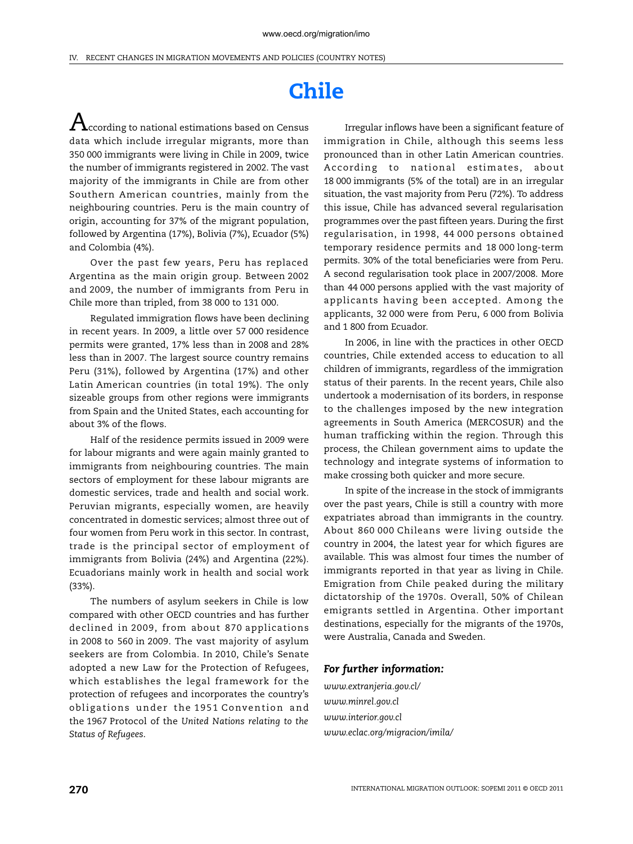## **Chile**

 ${\rm A}$ ccording to national estimations based on Census data which include irregular migrants, more than 350 000 immigrants were living in Chile in 2009, twice the number of immigrants registered in 2002. The vast majority of the immigrants in Chile are from other Southern American countries, mainly from the neighbouring countries. Peru is the main country of origin, accounting for 37% of the migrant population, followed by Argentina (17%), Bolivia (7%), Ecuador (5%) and Colombia (4%).

Over the past few years, Peru has replaced Argentina as the main origin group. Between 2002 and 2009, the number of immigrants from Peru in Chile more than tripled, from 38 000 to 131 000.

Regulated immigration flows have been declining in recent years. In 2009, a little over 57 000 residence permits were granted, 17% less than in 2008 and 28% less than in 2007. The largest source country remains Peru (31%), followed by Argentina (17%) and other Latin American countries (in total 19%). The only sizeable groups from other regions were immigrants from Spain and the United States, each accounting for about 3% of the flows.

Half of the residence permits issued in 2009 were for labour migrants and were again mainly granted to immigrants from neighbouring countries. The main sectors of employment for these labour migrants are domestic services, trade and health and social work. Peruvian migrants, especially women, are heavily concentrated in domestic services; almost three out of four women from Peru work in this sector. In contrast, trade is the principal sector of employment of immigrants from Bolivia (24%) and Argentina (22%). Ecuadorians mainly work in health and social work (33%).

The numbers of asylum seekers in Chile is low compared with other OECD countries and has further declined in 2009, from about 870 applications in 2008 to 560 in 2009. The vast majority of asylum seekers are from Colombia. In 2010, Chile's Senate adopted a new Law for the Protection of Refugees, which establishes the legal framework for the protection of refugees and incorporates the country's obligations under the 1951 Convention and the 1967 Protocol of the *[United Nations](http://en.wikipedia.org/wiki/United_Nations) [relating to the](http://en.wikipedia.org/wiki/Convention_Relating_to_the_Status_of_Refugees) [Status of Refugees](http://en.wikipedia.org/wiki/Convention_Relating_to_the_Status_of_Refugees)*.

Irregular inflows have been a significant feature of immigration in Chile, although this seems less pronounced than in other Latin American countries. According to national estimates, about 18 000 immigrants (5% of the total) are in an irregular situation, the vast majority from Peru (72%). To address this issue, Chile has advanced several regularisation programmes over the past fifteen years. During the first regularisation, in 1998, 44 000 persons obtained temporary residence permits and 18 000 long-term permits. 30% of the total beneficiaries were from Peru. A second regularisation took place in 2007/2008. More than 44 000 persons applied with the vast majority of applicants having been accepted. Among the applicants, 32 000 were from Peru, 6 000 from Bolivia and 1 800 from Ecuador.

In 2006, in line with the practices in other OECD countries, Chile extended access to education to all children of immigrants, regardless of the immigration status of their parents. In the recent years, Chile also undertook a modernisation of its borders, in response to the challenges imposed by the new integration agreements in South America (MERCOSUR) and the human trafficking within the region. Through this process, the Chilean government aims to update the technology and integrate systems of information to make crossing both quicker and more secure.

In spite of the increase in the stock of immigrants over the past years, Chile is still a country with more expatriates abroad than immigrants in the country. About 860 000 Chileans were living outside the country in 2004, the latest year for which figures are available. This was almost four times the number of immigrants reported in that year as living in Chile. Emigration from Chile peaked during the military dictatorship of the 1970s. Overall, 50% of Chilean emigrants settled in Argentina. Other important destinations, especially for the migrants of the 1970s, were Australia, Canada and Sweden.

## *For further information:*

*[www.extranjeria.gov.cl/](http://www.extranjeria.gov.cl/) [www.minrel.gov.cl](http://www.minrel.gov.cl/) [www.interior.gov.cl](http://www.interior.gov.cl) [www.eclac.org/migracion/imila/](http://www.eclac.org/migracion/imila/)*